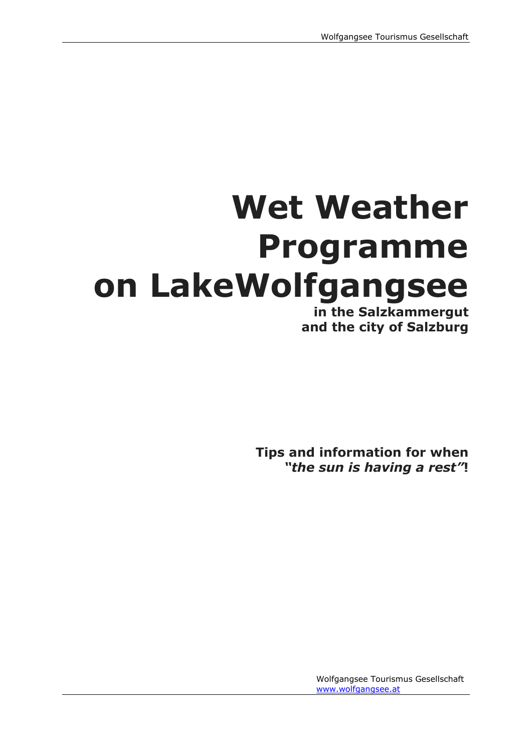# **Wet Weather Programme on LakeWolfgangsee**

**in the Salzkammergut and the city of Salzburg**

**Tips and information for when** *"the sun is having a rest"***!**

> Wolfgangsee Tourismus Gesellschaft [www.wolfgangsee.at](http://www.wolfgangsee.at/)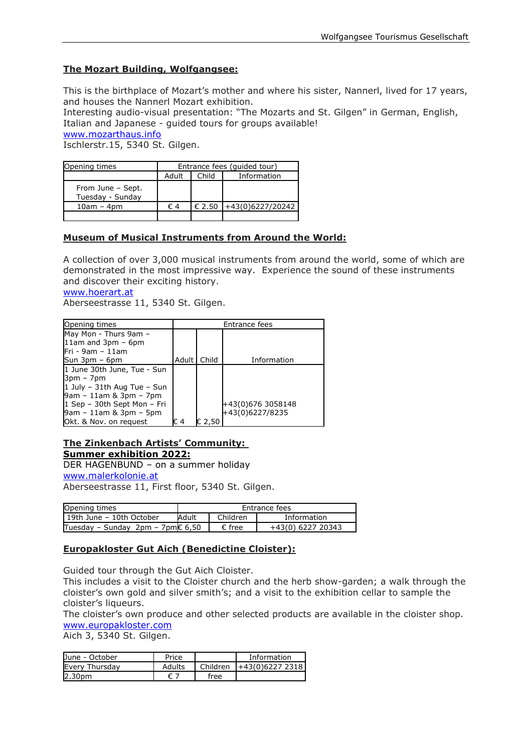#### **The Mozart Building, Wolfgangsee:**

This is the birthplace of Mozart's mother and where his sister, Nannerl, lived for 17 years, and houses the Nannerl Mozart exhibition.

Interesting audio-visual presentation: "The Mozarts and St. Gilgen" in German, English, Italian and Japanese - guided tours for groups available!

[www.mozarthaus.info](http://www.mozarthaus.info/)

Ischlerstr.15, 5340 St. Gilgen.

| Opening times                         | Entrance fees (quided tour) |                 |                  |  |
|---------------------------------------|-----------------------------|-----------------|------------------|--|
|                                       | Adult                       | Child           | Information      |  |
| From June - Sept.<br>Tuesday - Sunday |                             |                 |                  |  |
| $10am - 4dm$                          | $\epsilon$ 4                | $\epsilon$ 2.50 | +43(0)6227/20242 |  |
|                                       |                             |                 |                  |  |

#### **Museum of Musical Instruments from Around the World:**

A collection of over 3,000 musical instruments from around the world, some of which are demonstrated in the most impressive way. Experience the sound of these instruments and discover their exciting history.

[www.hoerart.at](http://www.hoerart.at/)

Aberseestrasse 11, 5340 St. Gilgen.

| Opening times                  |       | Entrance fees |                   |  |  |
|--------------------------------|-------|---------------|-------------------|--|--|
| May Mon - Thurs 9am -          |       |               |                   |  |  |
| 11am and $3pm - 6pm$           |       |               |                   |  |  |
| $Fri - 9am - 11am$             |       |               |                   |  |  |
| Sun $3pm - 6pm$                | Adult | Child         | Information       |  |  |
| 1 June 30th June, Tue - Sun    |       |               |                   |  |  |
| 3pm – 7pm                      |       |               |                   |  |  |
| 1 July - $31$ th Aug Tue - Sun |       |               |                   |  |  |
| 9am - 11am & 3pm - 7pm         |       |               |                   |  |  |
| 1 Sep - 30th Sept Mon - Fri    |       |               | +43(0)676 3058148 |  |  |
| 9am - 11am & 3pm - 5pm         |       |               | +43(0)6227/8235   |  |  |
| Okt. & Nov. on request         | € 4   | € 2,50        |                   |  |  |

#### **The Zinkenbach Artists' Community: Summer exhibition 2022:**

DER HAGENBUND – on a summer holiday

[www.malerkolonie.at](http://www.malerkolonie.at/)

Aberseestrasse 11, First floor, 5340 St. Gilgen.

| Opening times                              | Entrance fees |                 |                   |  |
|--------------------------------------------|---------------|-----------------|-------------------|--|
| 119th June - 10th October                  | Adult         | Children        | Information       |  |
| Tuesday – Sunday 2pm – 7pm $\epsilon$ 6,50 |               | $\epsilon$ free | +43(0) 6227 20343 |  |

#### **Europakloster Gut Aich (Benedictine Cloister):**

Guided tour through the Gut Aich Cloister.

This includes a visit to the Cloister church and the herb show-garden; a walk through the cloister's own gold and silver smith's; and a visit to the exhibition cellar to sample the cloister's liqueurs.

The cloister's own produce and other selected products are available in the cloister shop. [www.europakloster.com](http://www.europakloster.com/)

Aich 3, 5340 St. Gilgen.

| June - October     | Price  |          | Information       |
|--------------------|--------|----------|-------------------|
| Every Thursday     | Adults | Children | $1+43(0)62272318$ |
| 2.30 <sub>pm</sub> |        | free     |                   |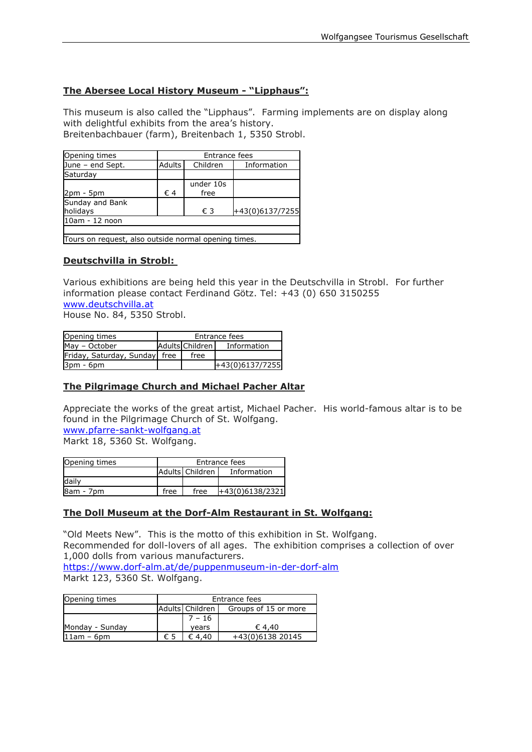#### **The Abersee Local History Museum - "Lipphaus":**

This museum is also called the "Lipphaus". Farming implements are on display along with delightful exhibits from the area's history. Breitenbachbauer (farm), Breitenbach 1, 5350 Strobl.

| Opening times                                        |    | Entrance fees                     |                 |  |  |  |
|------------------------------------------------------|----|-----------------------------------|-----------------|--|--|--|
| June - end Sept.                                     |    | Adults<br>Children<br>Information |                 |  |  |  |
| Saturday                                             |    |                                   |                 |  |  |  |
|                                                      |    | under 10s                         |                 |  |  |  |
| 2pm - 5pm                                            | €4 | free                              |                 |  |  |  |
| Sunday and Bank                                      |    |                                   |                 |  |  |  |
| holidays                                             |    | € 3                               | +43(0)6137/7255 |  |  |  |
| 10am - 12 noon                                       |    |                                   |                 |  |  |  |
|                                                      |    |                                   |                 |  |  |  |
| Tours on request, also outside normal opening times. |    |                                   |                 |  |  |  |

#### **Deutschvilla in Strobl:**

Various exhibitions are being held this year in the Deutschvilla in Strobl. For further information please contact Ferdinand Götz. Tel: +43 (0) 650 3150255 [www.deutschvilla.at](http://www.deutschvilla.at/)

House No. 84, 5350 Strobl.

| Opening times                 | Entrance fees |                   |                   |  |
|-------------------------------|---------------|-------------------|-------------------|--|
| May - October                 |               | Adults Children I | Information       |  |
| Friday, Saturday, Sunday free |               | free              |                   |  |
| $3pm - 6pm$                   |               |                   | $+43(0)6137/7255$ |  |

#### **The Pilgrimage Church and Michael Pacher Altar**

Appreciate the works of the great artist, Michael Pacher. His world-famous altar is to be found in the Pilgrimage Church of St. Wolfgang. [www.pfarre-sankt-wolfgang.at](http://www.pfarre-sankt-wolfgang.at/)

Markt 18, 5360 St. Wolfgang.

| Opening times | Entrance fees                  |      |                 |  |  |  |
|---------------|--------------------------------|------|-----------------|--|--|--|
|               | Adults Children<br>Information |      |                 |  |  |  |
| daily         |                                |      |                 |  |  |  |
| 8am - 7pm     | free                           | free | +43(0)6138/2321 |  |  |  |

#### **The Doll Museum at the Dorf-Alm Restaurant in St. Wolfgang:**

"Old Meets New". This is the motto of this exhibition in St. Wolfgang. Recommended for doll-lovers of all ages. The exhibition comprises a collection of over 1,000 dolls from various manufacturers.

<https://www.dorf-alm.at/de/puppenmuseum-in-der-dorf-alm> Markt 123, 5360 St. Wolfgang.

| Opening times   |     | Entrance fees                           |                  |  |  |
|-----------------|-----|-----------------------------------------|------------------|--|--|
|                 |     | Adults Children<br>Groups of 15 or more |                  |  |  |
|                 |     | $7 - 16$                                |                  |  |  |
| Monday - Sunday |     | vears                                   | € 4.40           |  |  |
| $11am - 6dm$    | € 5 | € 4.40                                  | +43(0)6138 20145 |  |  |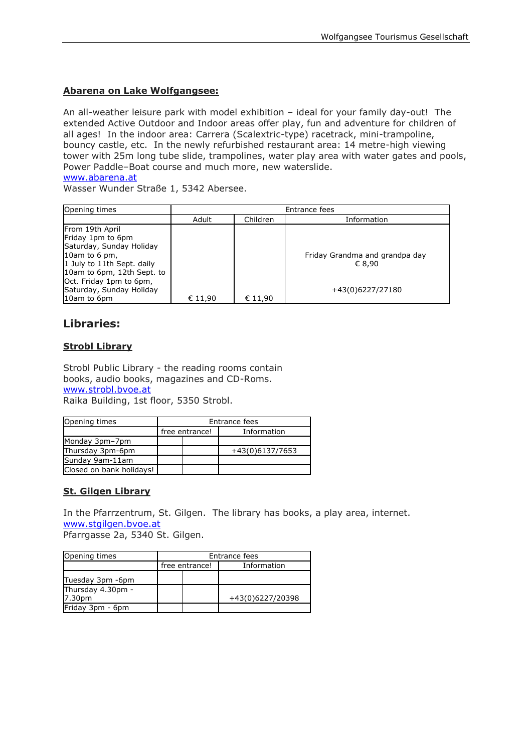#### **Abarena on Lake Wolfgangsee:**

An all-weather leisure park with model exhibition – ideal for your family day-out! The extended Active Outdoor and Indoor areas offer play, fun and adventure for children of all ages! In the indoor area: Carrera (Scalextric-type) racetrack, mini-trampoline, bouncy castle, etc. In the newly refurbished restaurant area: 14 metre-high viewing tower with 25m long tube slide, trampolines, water play area with water gates and pools, Power Paddle–Boat course and much more, new waterslide.

[www.abarena.at](http://www.abarena.at/)

Wasser Wunder Straße 1, 5342 Abersee.

| Opening times                                                                                         | Entrance fees |          |                                          |  |  |
|-------------------------------------------------------------------------------------------------------|---------------|----------|------------------------------------------|--|--|
|                                                                                                       | Adult         | Children | Information                              |  |  |
| From 19th April<br>Friday 1pm to 6pm                                                                  |               |          |                                          |  |  |
| Saturday, Sunday Holiday<br>10am to 6 pm,<br>1 July to 11th Sept. daily<br>10am to 6pm, 12th Sept. to |               |          | Friday Grandma and grandpa day<br>€ 8.90 |  |  |
| Oct. Friday 1pm to 6pm,<br>Saturday, Sunday Holiday<br>10am to 6pm                                    | € 11,90       | € 11,90  | +43(0)6227/27180                         |  |  |

## **Libraries:**

#### **Strobl Library**

Strobl Public Library - the reading rooms contain books, audio books, magazines and CD-Roms. [www.strobl.bvoe.at](http://www.strobl.bvoe.at/) Raika Building, 1st floor, 5350 Strobl.

| Opening times            | Entrance fees  |  |                 |  |
|--------------------------|----------------|--|-----------------|--|
|                          | free entrance! |  | Information     |  |
| Monday 3pm-7pm           |                |  |                 |  |
| Thursday 3pm-6pm         |                |  | +43(0)6137/7653 |  |
| Sunday 9am-11am          |                |  |                 |  |
| Closed on bank holidays! |                |  |                 |  |

#### **St. Gilgen Library**

In the Pfarrzentrum, St. Gilgen. The library has books, a play area, internet. [www.stgilgen.bvoe.at](mailto:bibliostgilgen@inode.at)

Pfarrgasse 2a, 5340 St. Gilgen.

| Opening times               | Entrance fees |                |                  |  |
|-----------------------------|---------------|----------------|------------------|--|
|                             |               | free entrance! | Information      |  |
| Tuesday 3pm -6pm            |               |                |                  |  |
| Thursday 4.30pm -<br>7.30pm |               |                | +43(0)6227/20398 |  |
| Friday 3pm - 6pm            |               |                |                  |  |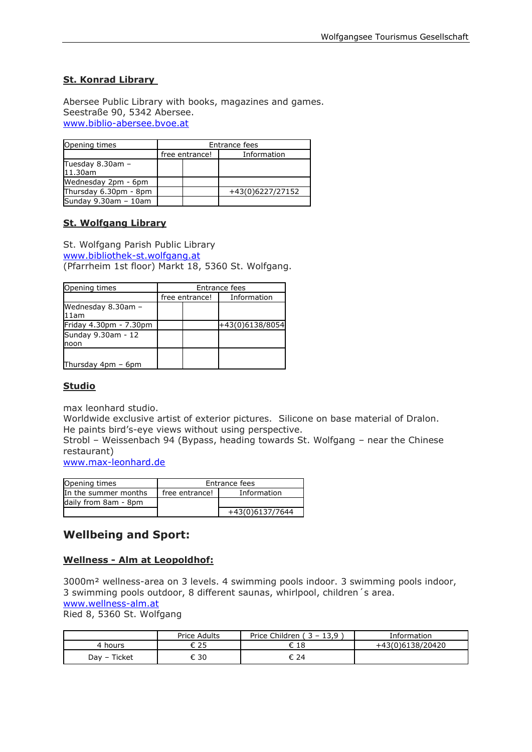#### **St. Konrad Library**

Abersee Public Library with books, magazines and games. Seestraße 90, 5342 Abersee. [www.biblio-abersee.bvoe.at](http://www.biblio-abersee.bvoe.at/)

| Opening times               | Entrance fees  |  |                  |  |
|-----------------------------|----------------|--|------------------|--|
|                             | free entrance! |  | Information      |  |
| Tuesday 8.30am -<br>11.30am |                |  |                  |  |
| Wednesday 2pm - 6pm         |                |  |                  |  |
| Thursday 6.30pm - 8pm       |                |  | +43(0)6227/27152 |  |
| Sunday $9.30$ am $-10$ am   |                |  |                  |  |

#### **St. Wolfgang Library**

St. Wolfgang Parish Public Library [www.bibliothek-st.wolfgang.at](http://www.bibliothek-st.wolfgang.at/) (Pfarrheim 1st floor) Markt 18, 5360 St. Wolfgang.

| Opening times              | Entrance fees |                |                 |  |
|----------------------------|---------------|----------------|-----------------|--|
|                            |               | free entrance! | Information     |  |
| Wednesday 8.30am -<br>11am |               |                |                 |  |
| Friday 4.30pm - 7.30pm     |               |                | +43(0)6138/8054 |  |
| Sunday 9.30am - 12<br>noon |               |                |                 |  |
| Thursday 4pm - 6pm         |               |                |                 |  |

#### **Studio**

max leonhard studio.

Worldwide exclusive artist of exterior pictures. Silicone on base material of Dralon. He paints bird's-eye views without using perspective.

Strobl – Weissenbach 94 (Bypass, heading towards St. Wolfgang – near the Chinese restaurant)

[www.max-leonhard.de](http://www.max-leonhard.de/)

| Opening times        | Entrance fees  |                 |  |
|----------------------|----------------|-----------------|--|
| In the summer months | free entrance! | Information     |  |
| daily from 8am - 8pm |                |                 |  |
|                      |                | +43(0)6137/7644 |  |

### **Wellbeing and Sport:**

#### **Wellness - Alm at Leopoldhof:**

3000m² wellness-area on 3 levels. 4 swimming pools indoor. 3 swimming pools indoor, 3 swimming pools outdoor, 8 different saunas, whirlpool, children´s area. [www.wellness-alm.at](http://www.wellness-alm.at/)

Ried 8, 5360 St. Wolfgang

|                 | <b>Price Adults</b> | Children<br>$\sim$ $\sim$<br>13,9<br>Price C.<br>. – | Information             |
|-----------------|---------------------|------------------------------------------------------|-------------------------|
| hours<br>4      | つに                  | 18<br>◡                                              | 8(0)6138/20420<br>+43(0 |
| Ticket<br>Dav – | 30                  | 24                                                   |                         |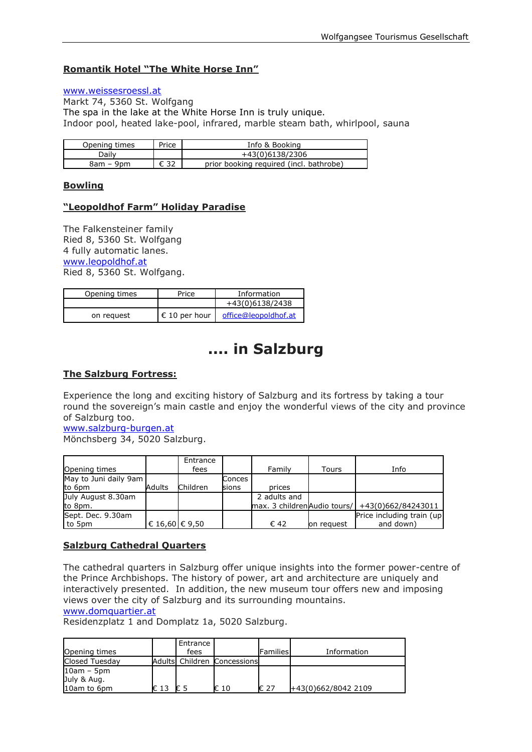#### **Romantik Hotel "The White Horse Inn"**

#### [www.weissesroessl.at](http://www.weissesroessl.at/)

Markt 74, 5360 St. Wolfgang The spa in the lake at the White Horse Inn is truly unique. Indoor pool, heated lake-pool, infrared, marble steam bath, whirlpool, sauna

| Opening times | Price | Info & Booking                          |
|---------------|-------|-----------------------------------------|
| Daily         |       | +43(0)6138/2306                         |
| 8am – 9pm     | € 32  | prior booking required (incl. bathrobe) |

#### **Bowling**

#### **"Leopoldhof Farm" Holiday Paradise**

The Falkensteiner family Ried 8, 5360 St. Wolfgang 4 fully automatic lanes. [www.leopoldhof.at](http://www.leopoldhof.at/) Ried 8, 5360 St. Wolfgang.

| Opening times | Price         | Information          |
|---------------|---------------|----------------------|
|               |               | +43(0)6138/2438      |
| on request    | € 10 per hour | office@leopoldhof.at |

# **.... in Salzburg**

#### **The Salzburg Fortress:**

Experience the long and exciting history of Salzburg and its fortress by taking a tour round the sovereign's main castle and enjoy the wonderful views of the city and province of Salzburg too.

[www.salzburg-burgen.at](http://www.salzburg.info/) Mönchsberg 34, 5020 Salzburg.

|                       |                    | Entrance |        |                             |            |                           |
|-----------------------|--------------------|----------|--------|-----------------------------|------------|---------------------------|
| Opening times         |                    | fees     |        | Family                      | Tours      | Info                      |
| May to Juni daily 9am |                    |          | Conces |                             |            |                           |
| to 6pm                | Adults             | Children | sions  | prices                      |            |                           |
| July August 8.30am    |                    |          |        | 2 adults and                |            |                           |
| to 8pm.               |                    |          |        | max. 3 childrenAudio tours/ |            | +43(0)662/84243011        |
| Sept. Dec. 9.30am     |                    |          |        |                             |            | Price including train (up |
| to 5pm                | € 16,60 $\in$ 9,50 |          |        | € 42                        | on reguest | and down)                 |

#### **Salzburg Cathedral Quarters**

The cathedral quarters in Salzburg offer unique insights into the former power-centre of the Prince Archbishops. The history of power, art and architecture are uniquely and interactively presented. In addition, the new museum tour offers new and imposing views over the city of Salzburg and its surrounding mountains.

#### [www.domquartier.at](http://www.domquartier.at/)

Residenzplatz 1 and Domplatz 1a, 5020 Salzburg.

| Opening times                              |      | Entrance<br>fees |                             | <b>Families</b> | Information         |
|--------------------------------------------|------|------------------|-----------------------------|-----------------|---------------------|
| Closed Tuesday                             |      |                  | Adults Children Concessions |                 |                     |
| $10am - 5pm$<br>July & Aug.<br>10am to 6pm | € 13 | € 5              | € 10                        | € 27            | +43(0)662/8042 2109 |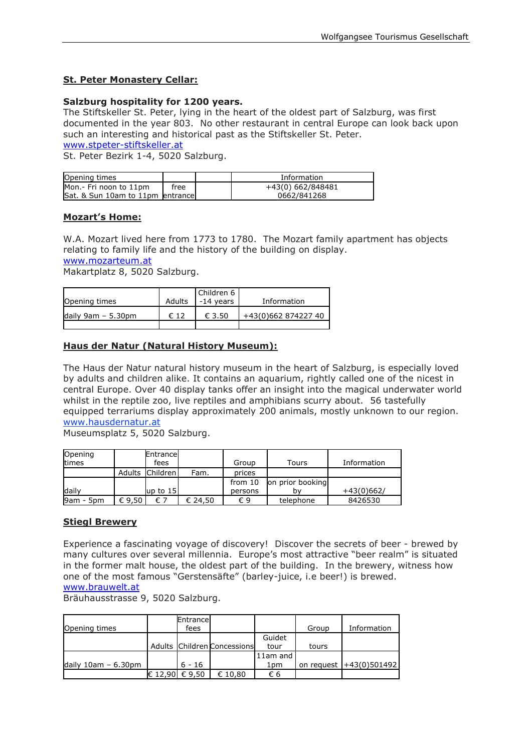#### **St. Peter Monastery Cellar:**

#### **Salzburg hospitality for 1200 years.**

The Stiftskeller St. Peter, lying in the heart of the oldest part of Salzburg, was first documented in the year 803. No other restaurant in central Europe can look back upon such an interesting and historical past as the Stiftskeller St. Peter.

[www.stpeter-stiftskeller.at](http://www.stpeter-stiftskeller.at/)

St. Peter Bezirk 1-4, 5020 Salzburg.

| Opening times                    |      | Information       |
|----------------------------------|------|-------------------|
| Mon.- Fri noon to 11pm           | free | +43(0) 662/848481 |
| Sat. & Sun 10am to 11pm entrance |      | 0662/841268       |

#### **Mozart's Home:**

W.A. Mozart lived here from 1773 to 1780. The Mozart family apartment has objects relating to family life and the history of the building on display. [www.mozarteum.at](http://www.mozarteum.at/)

Makartplatz 8, 5020 Salzburg.

| Opening times        | Adults | Children 6<br>. -14 vears | Information         |
|----------------------|--------|---------------------------|---------------------|
| daily $9am - 5.30pm$ | € 12   | € 3.50                    | +43(0)662 874227 40 |

#### **Haus der Natur (Natural History Museum):**

The Haus der Natur natural history museum in the heart of Salzburg, is especially loved by adults and children alike. It contains an aquarium, rightly called one of the nicest in central Europe. Over 40 display tanks offer an insight into the magical underwater world whilst in the reptile zoo, live reptiles and amphibians scurry about. 56 tastefully equipped terrariums display approximately 200 animals, mostly unknown to our region. [www.hausdernatur.at](http://www.hausdernatur.at/)

Museumsplatz 5, 5020 Salzburg.

| Opening<br>times |        | Entrancel<br>fees |         | Group   | Tours            | Information  |
|------------------|--------|-------------------|---------|---------|------------------|--------------|
|                  | Adults | Children          | Fam.    | prices  |                  |              |
|                  |        |                   |         | from 10 | on prior booking |              |
| dailv            |        | up to $15$        |         | persons | h۷               | $+43(0)662/$ |
| 9am - 5pm        | € 9.50 | €7                | € 24.50 | €9      | telephone        | 8426530      |

#### **Stiegl Brewery**

Experience a fascinating voyage of discovery! Discover the secrets of beer - brewed by many cultures over several millennia. Europe's most attractive "beer realm" is situated in the former malt house, the oldest part of the building. In the brewery, witness how one of the most famous "Gerstensäfte" (barley-juice, i.e beer!) is brewed. [www.brauwelt.at](http://www.brauwelt.at/)

Bräuhausstrasse 9, 5020 Salzburg.

|                           |                | Entrance |                             |          |       |                           |
|---------------------------|----------------|----------|-----------------------------|----------|-------|---------------------------|
| Opening times             |                | fees     |                             |          | Group | Information               |
|                           |                |          |                             | Guidet   |       |                           |
|                           |                |          | Adults Children Concessions | tour     | tours |                           |
|                           |                |          |                             | 11am and |       |                           |
| daily $10$ am - $6.30$ pm |                | $6 - 16$ |                             | 1pm      |       | on request   +43(0)501492 |
|                           | € 12.90 € 9.50 |          | € 10.80                     | €6       |       |                           |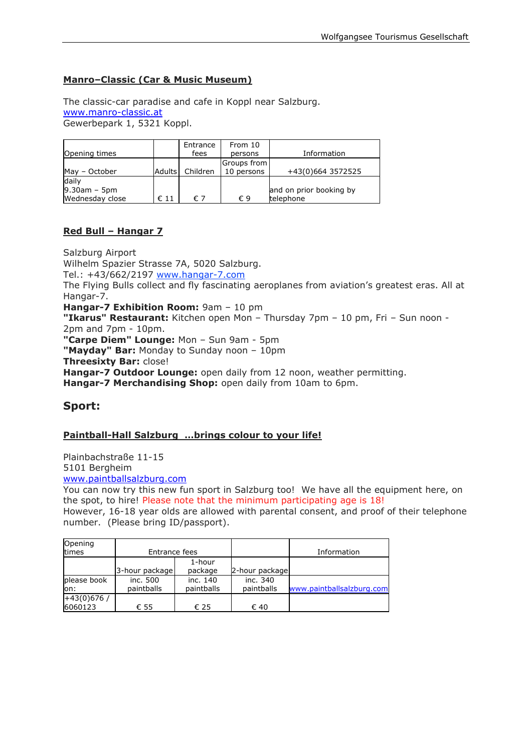#### **Manro–Classic (Car & Music Museum)**

The classic-car paradise and cafe in Koppl near Salzburg. [www.manro-classic.at](http://www.manro-classic.at/) Gewerbepark 1, 5321 Koppl.

|                 |               | Entrance | From 10      |                         |
|-----------------|---------------|----------|--------------|-------------------------|
| Opening times   |               | fees     | persons      | Information             |
|                 |               |          | Groups from  |                         |
| May - October   | <b>Adults</b> | Children | 10 persons   | +43(0)664 3572525       |
| daily           |               |          |              |                         |
| $9.30$ am – 5pm |               |          |              | and on prior booking by |
| Wednesday close | $\epsilon$ 11 | € 7      | $\epsilon$ 9 | telephone               |

#### **Red Bull – Hangar 7**

Salzburg Airport Wilhelm Spazier Strasse 7A, 5020 Salzburg. Tel.: +43/662/2197 [www.hangar-7.com](http://www.hangar-7.com/) The Flying Bulls collect and fly fascinating aeroplanes from aviation's greatest eras. All at Hangar-7. **Hangar-7 Exhibition Room:** 9am – 10 pm **"Ikarus" Restaurant:** Kitchen open Mon – Thursday 7pm – 10 pm, Fri – Sun noon - 2pm and 7pm - 10pm. **"Carpe Diem" Lounge:** Mon – Sun 9am - 5pm **"Mayday" Bar:** Monday to Sunday noon – 10pm **Threesixty Bar:** close! **Hangar-7 Outdoor Lounge:** open daily from 12 noon, weather permitting. **Hangar-7 Merchandising Shop:** open daily from 10am to 6pm.

### **Sport:**

#### **Paintball-Hall Salzburg …brings colour to your life!**

Plainbachstraße 11-15 5101 Bergheim

[www.paintballsalzburg.com](http://www.paintballsalzburg.com/)

You can now try this new fun sport in Salzburg too! We have all the equipment here, on the spot, to hire! Please note that the minimum participating age is 18!

However, 16-18 year olds are allowed with parental consent, and proof of their telephone number. (Please bring ID/passport).

| Opening<br>times        | Entrance fees          |                        |                        | Information               |
|-------------------------|------------------------|------------------------|------------------------|---------------------------|
|                         | 3-hour package         | 1-hour<br>package      | 2-hour package         |                           |
| please book<br>lon:     | inc. 500<br>paintballs | inc. 140<br>paintballs | inc. 340<br>paintballs | www.paintballsalzburg.com |
| $+43(0)676/$<br>6060123 | € 55                   | € 25                   | € 40                   |                           |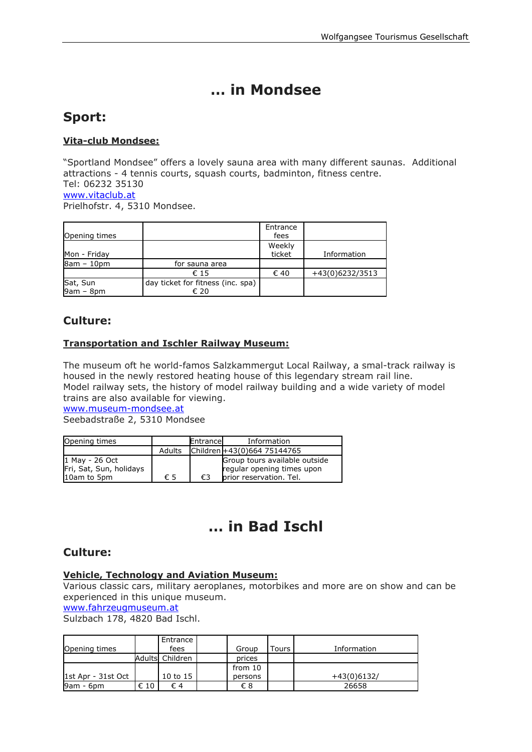# **… in Mondsee**

# **Sport:**

#### **Vita-club Mondsee:**

"Sportland Mondsee" offers a lovely sauna area with many different saunas. Additional attractions - 4 tennis courts, squash courts, badminton, fitness centre. Tel: 06232 35130 [www.vitaclub.at](http://www.vitaclub.at/) Prielhofstr. 4, 5310 Mondsee.

|               |                                   | Entrance |                 |
|---------------|-----------------------------------|----------|-----------------|
| Opening times |                                   | fees     |                 |
|               |                                   | Weekly   |                 |
| Mon - Friday  |                                   | ticket   | Information     |
| 8am - 10pm    | for sauna area                    |          |                 |
|               | € 15                              | € 40     | +43(0)6232/3513 |
| Sat, Sun      | day ticket for fitness (inc. spa) |          |                 |
| $9am - 8pm$   | € 20                              |          |                 |

## **Culture:**

#### **Transportation and Ischler Railway Museum:**

The museum oft he world-famos Salzkammergut Local Railway, a smal-track railway is housed in the newly restored heating house of this legendary stream rail line. Model railway sets, the history of model railway building and a wide variety of model trains are also available for viewing.

[www.museum-mondsee.at](http://www.museum-mondsee.at/)

Seebadstraße 2, 5310 Mondsee

| Opening times                             |        | Entrance | Information                                                 |
|-------------------------------------------|--------|----------|-------------------------------------------------------------|
|                                           | Adults |          | Children +43(0)664 75144765                                 |
| 1 May - 26 Oct<br>Fri, Sat, Sun, holidays |        |          | Group tours available outside<br>regular opening times upon |
| 10am to 5pm                               | € 5    | €3       | prior reservation. Tel.                                     |

# **… in Bad Ischl**

## **Culture:**

#### **Vehicle, Technology and Aviation Museum:**

Various classic cars, military aeroplanes, motorbikes and more are on show and can be experienced in this unique museum.

[www.fahrzeugmuseum.at](http://www.fahrzeugmuseum.at/)

Sulzbach 178, 4820 Bad Ischl.

| Opening times      |      | Entrance<br>fees | Group   | ۲ours | Information   |
|--------------------|------|------------------|---------|-------|---------------|
|                    |      | Adults Children  | prices  |       |               |
|                    |      |                  | from 10 |       |               |
| 1st Apr - 31st Oct |      | 10 to 15         | persons |       | $+43(0)6132/$ |
| 9am - 6pm          | € 10 | € 4              | €8      |       | 26658         |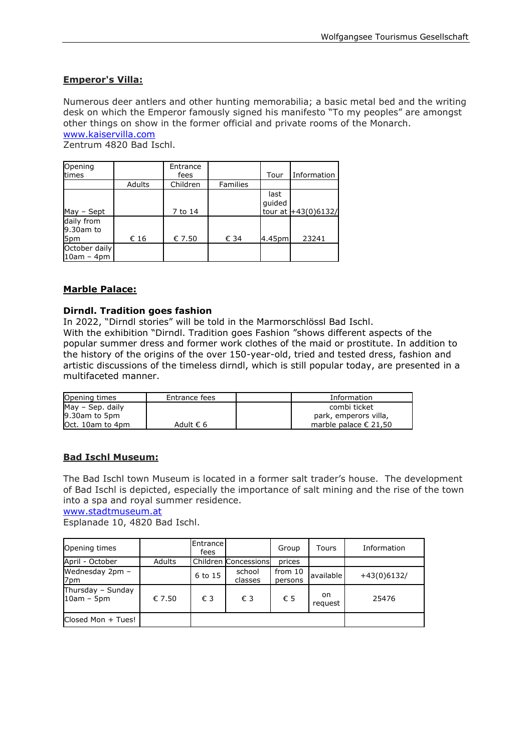#### **Emperor's Villa:**

Numerous deer antlers and other hunting memorabilia; a basic metal bed and the writing desk on which the Emperor famously signed his manifesto "To my peoples" are amongst other things on show in the former official and private rooms of the Monarch. [www.kaiservilla.com](http://www.kaiservilla.com/)

Zentrum 4820 Bad Ischl.

| Opening<br>times               |        | Entrance<br>fees |                 | Tour           | Information           |
|--------------------------------|--------|------------------|-----------------|----------------|-----------------------|
|                                | Adults | Children         | <b>Families</b> |                |                       |
| May - Sept                     |        | 7 to 14          |                 | last<br>quided | tour at $+43(0)6132/$ |
| daily from<br>9.30am to<br>5pm | € 16   | € 7.50           | € 34            | 4.45pm         | 23241                 |
| October daily<br>$10am - 4pm$  |        |                  |                 |                |                       |

#### **Marble Palace:**

#### **Dirndl. Tradition goes fashion**

In 2022, "Dirndl stories" will be told in the Marmorschlössl Bad Ischl.

With the exhibition "Dirndl. Tradition goes Fashion "shows different aspects of the popular summer dress and former work clothes of the maid or prostitute. In addition to the history of the origins of the over 150-year-old, tried and tested dress, fashion and artistic discussions of the timeless dirndl, which is still popular today, are presented in a multifaceted manner.

| Opening times    | Entrance fees | Information                    |
|------------------|---------------|--------------------------------|
| May - Sep. daily |               | combi ticket                   |
| 9.30am to 5pm    |               | park, emperors villa,          |
| Oct. 10am to 4pm | Adult € 6     | marble palace $\epsilon$ 21.50 |

#### **Bad Ischl Museum:**

The Bad Ischl town Museum is located in a former salt trader's house. The development of Bad Ischl is depicted, especially the importance of salt mining and the rise of the town into a spa and royal summer residence.

#### [www.stadtmuseum.at](http://www.stadtmuseum.at/)

Esplanade 10, 4820 Bad Ischl.

| Opening times                     |        | Entrance<br>fees |                      | Group              | Tours         | Information   |
|-----------------------------------|--------|------------------|----------------------|--------------------|---------------|---------------|
| April - October                   | Adults |                  | Children Concessions | prices             |               |               |
| Wednesday 2pm -<br>7pm            |        | 6 to 15          | school<br>classes    | from 10<br>persons | available     | $+43(0)6132/$ |
| Thursday - Sunday<br>$10am - 5pm$ | € 7.50 | € 3              | € 3                  | € 5                | on<br>reguest | 25476         |
| Closed Mon + Tues!                |        |                  |                      |                    |               |               |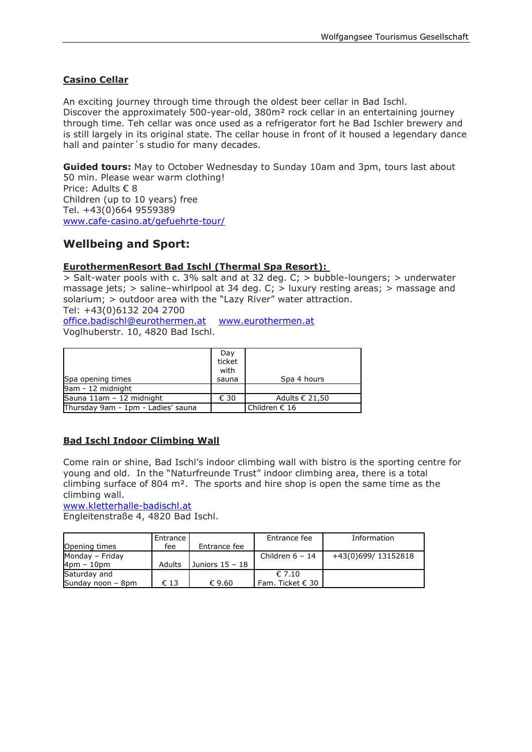#### **Casino Cellar**

An exciting journey through time through the oldest beer cellar in Bad Ischl. Discover the approximately 500-year-old, 380m² rock cellar in an entertaining journey through time. Teh cellar was once used as a refrigerator fort he Bad Ischler brewery and is still largely in its original state. The cellar house in front of it housed a legendary dance hall and painter's studio for many decades.

**Guided tours:** May to October Wednesday to Sunday 10am and 3pm, tours last about 50 min. Please wear warm clothing! Price: Adults € 8 Children (up to 10 years) free Tel. +43(0)664 9559389 [www.cafe-casino.at/gefuehrte-tour/](http://www.cafe-casino.at/gefuehrte-tour/)

## **Wellbeing and Sport:**

#### **EurothermenResort Bad Ischl (Thermal Spa Resort):**

> Salt-water pools with c. 3% salt and at 32 deg. C; > bubble-loungers; > underwater massage jets; > saline–whirlpool at 34 deg. C; > luxury resting areas; > massage and solarium; > outdoor area with the "Lazy River" water attraction. Tel: +43(0)6132 204 2700

[office.badischl@eurothermen.at](mailto:office.badischl@eurothermen.at) [www.eurothermen.at](http://www.eurothermen.at/) Voglhuberstr. 10, 4820 Bad Ischl.

| Spa opening times                  | Day<br>ticket<br>with<br>sauna | Spa 4 hours            |
|------------------------------------|--------------------------------|------------------------|
| 9am - 12 midnight                  |                                |                        |
| Sauna 11am - 12 midnight           | € 30                           | Adults € 21,50         |
| Thursday 9am - 1pm - Ladies' sauna |                                | Children $\epsilon$ 16 |

#### **Bad Ischl Indoor Climbing Wall**

Come rain or shine, Bad Ischl's indoor climbing wall with bistro is the sporting centre for young and old. In the "Naturfreunde Trust" indoor climbing area, there is a total climbing surface of 804  $m^2$ . The sports and hire shop is open the same time as the climbing wall.

[www.kletterhalle-badischl.at](http://www.kletterhalle-badischl.at/)

Engleitenstraße 4, 4820 Bad Ischl.

|                   | <b>Entrance</b> |                   | Entrance fee         | Information        |
|-------------------|-----------------|-------------------|----------------------|--------------------|
| Opening times     | fee             | Entrance fee      |                      |                    |
| Monday - Friday   |                 |                   | Children $6 - 14$    | +43(0)699/13152818 |
| 4pm – 10pm        | Adults          | Juniors $15 - 18$ |                      |                    |
| Saturday and      |                 |                   | $\epsilon$ 7.10      |                    |
| Sunday noon - 8pm | € 13            | € 9.60            | Fam. Ticket $\in$ 30 |                    |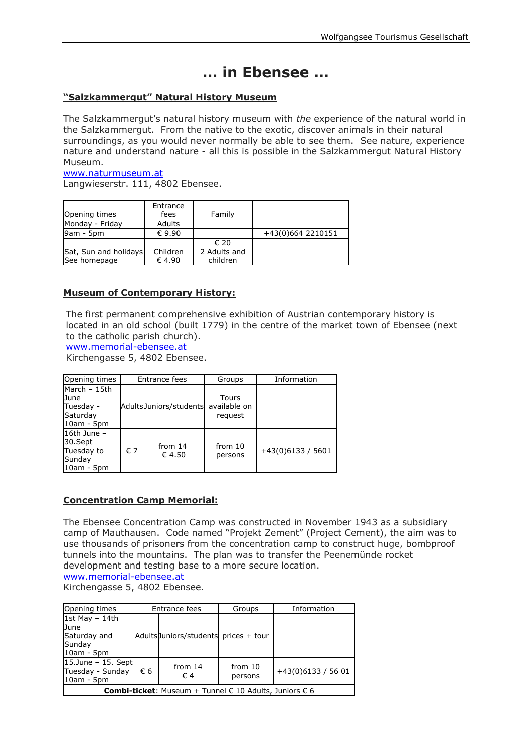# **… in Ebensee …**

#### **"Salzkammergut" Natural History Museum**

The Salzkammergut's natural history museum with *the* experience of the natural world in the Salzkammergut. From the native to the exotic, discover animals in their natural surroundings, as you would never normally be able to see them. See nature, experience nature and understand nature - all this is possible in the Salzkammergut Natural History Museum.

#### [www.naturmuseum.at](http://www.naturmuseum.at/) Langwieserstr. 111, 4802 Ebensee.

| Opening times         | Entrance<br>fees | Family       |                   |
|-----------------------|------------------|--------------|-------------------|
| Monday - Friday       | Adults           |              |                   |
| 9am - 5pm             | $\epsilon$ 9.90  |              | +43(0)664 2210151 |
|                       |                  | € 20         |                   |
| Sat, Sun and holidays | Children         | 2 Adults and |                   |
| See homepage          | € 4.90           | children     |                   |

#### **Museum of Contemporary History:**

The first permanent comprehensive exhibition of Austrian contemporary history is located in an old school (built 1779) in the centre of the market town of Ebensee (next to the catholic parish church).

[www.memorial-ebensee.at](http://www.memorial-ebensee.at/)

Kirchengasse 5, 4802 Ebensee.

| Opening times                                                         | Entrance fees |                        | Groups                           | Information         |
|-----------------------------------------------------------------------|---------------|------------------------|----------------------------------|---------------------|
| March - 15th<br><b>D</b> une<br>Tuesday -<br>Saturday<br>$10am - 5pm$ |               | AdultsJuniors/students | Tours<br>available on<br>request |                     |
| 16th June $-$<br>30.Sept<br>Tuesday to<br>Sunday<br>$10am - 5pm$      | € 7           | from $14$<br>€ 4.50    | from $10$<br>persons             | $+43(0)6133 / 5601$ |

#### **Concentration Camp Memorial:**

The Ebensee Concentration Camp was constructed in November 1943 as a subsidiary camp of Mauthausen. Code named "Projekt Zement" (Project Cement), the aim was to use thousands of prisoners from the concentration camp to construct huge, bombproof tunnels into the mountains. The plan was to transfer the Peenemünde rocket development and testing base to a more secure location. [www.memorial-ebensee.at](http://www.memorial-ebensee.at/)

Kirchengasse 5, 4802 Ebensee.

| Opening times                                                     |    | Entrance fees                         | Groups             | Information         |  |  |
|-------------------------------------------------------------------|----|---------------------------------------|--------------------|---------------------|--|--|
| 1st May $-$ 14th                                                  |    |                                       |                    |                     |  |  |
| June<br>Saturday and<br>Sunday<br>$10am - 5pm$                    |    | Adults Juniors/students prices + tour |                    |                     |  |  |
| $15.$ June - 15. Sept<br>Tuesday - Sunday<br>$10am - 5pm$         | €6 | from $14$<br>€4                       | from 10<br>persons | $+43(0)6133 / 5601$ |  |  |
| <b>Combi-ticket:</b> Museum + Tunnel $€$ 10 Adults, Juniors $€$ 6 |    |                                       |                    |                     |  |  |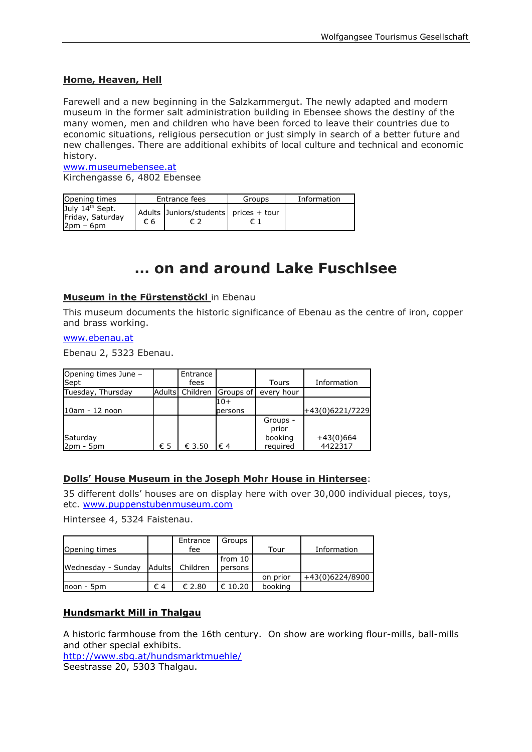#### **Home, Heaven, Hell**

Farewell and a new beginning in the Salzkammergut. The newly adapted and modern museum in the former salt administration building in Ebensee shows the destiny of the many women, men and children who have been forced to leave their countries due to economic situations, religious persecution or just simply in search of a better future and new challenges. There are additional exhibits of local culture and technical and economic history.

[www.museumebensee.at](http://www.museumebensee.at/) Kirchengasse 6, 4802 Ebensee

| Opening times                                                  |    | Entrance fees                         | Groups | Information |
|----------------------------------------------------------------|----|---------------------------------------|--------|-------------|
| July 14 <sup>th</sup> Sept.<br>Friday, Saturday<br>$2pm - 6pm$ | €6 | Adults Juniors/students prices + tour |        |             |

# **… on and around Lake Fuschlsee**

#### **Museum in the Fürstenstöckl** in Ebenau

This museum documents the historic significance of Ebenau as the centre of iron, copper and brass working.

#### [www.ebenau.at](http://www.ebenau.at/)

Ebenau 2, 5323 Ebenau.

| Opening times June -<br>Sept |        | Entrance<br>fees |           | Tours             | Information     |
|------------------------------|--------|------------------|-----------|-------------------|-----------------|
| Tuesday, Thursday            | Adults | Children         | Groups of | hour<br>every     |                 |
|                              |        |                  | 10+       |                   |                 |
| 10am - 12 noon               |        |                  | persons   |                   | +43(0)6221/7229 |
|                              |        |                  |           | Groups -<br>prior |                 |
| Saturday                     |        |                  |           | booking           | $+43(0)664$     |
| $2pm - 5pm$                  | € 5    | € 3.50           | €4        | required          | 4422317         |

#### **Dolls' House Museum in the Joseph Mohr House in Hintersee**:

35 different dolls' houses are on display here with over 30,000 individual pieces, toys, etc. [www.puppenstubenmuseum.com](http://www.puppenstubenmuseum.com/)

Hintersee 4, 5324 Faistenau.

|                    |         | Entrance        | Groups           |          |                 |
|--------------------|---------|-----------------|------------------|----------|-----------------|
| Opening times      |         | fee             |                  | Tour     | Information     |
|                    |         |                 | from 10          |          |                 |
| Wednesday - Sunday | Adultsl | Children        | persons          |          |                 |
|                    |         |                 |                  | on prior | +43(0)6224/8900 |
| noon - 5pm         | €4      | $\epsilon$ 2.80 | $\epsilon$ 10.20 | booking  |                 |

#### **Hundsmarkt Mill in Thalgau**

A historic farmhouse from the 16th century. On show are working flour-mills, ball-mills and other special exhibits.

<http://www.sbg.at/hundsmarktmuehle/> Seestrasse 20, 5303 Thalgau.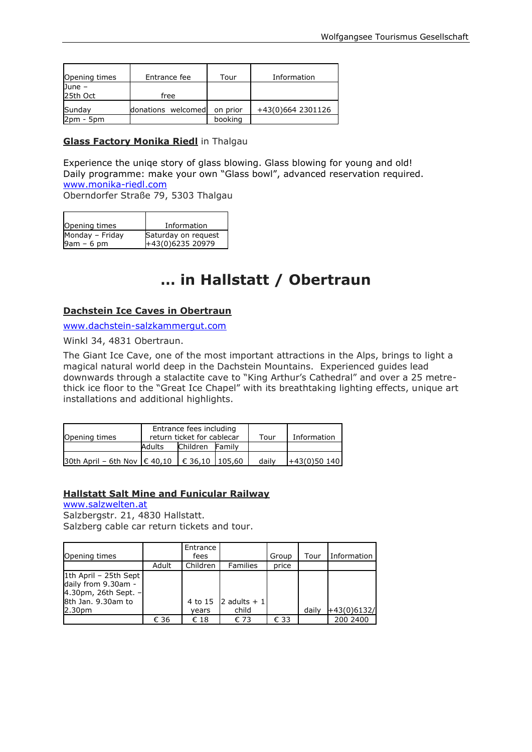| Opening times        | Entrance fee       | Tour     | Information       |
|----------------------|--------------------|----------|-------------------|
| June $-$<br>25th Oct | free               |          |                   |
| Sunday               | donations welcomed | on prior | +43(0)664 2301126 |
| $2pm - 5pm$          |                    | booking  |                   |

#### **Glass Factory Monika Riedl** in Thalgau

Experience the uniqe story of glass blowing. Glass blowing for young and old! Daily programme: make your own "Glass bowl", advanced reservation required. [www.monika-riedl.com](http://www.monika-riedl.com/)

Oberndorfer Straße 79, 5303 Thalgau

| Opening times   | Information         |
|-----------------|---------------------|
| Monday - Friday | Saturday on request |
| 9am – 6 pm      | +43(0)6235 20979    |

# **… in Hallstatt / Obertraun**

#### **Dachstein Ice Caves in Obertraun**

[www.dachstein-salzkammergut.com](http://www.dachstein-salzkammergut.com/)

Winkl 34, 4831 Obertraun.

The Giant Ice Cave, one of the most important attractions in the Alps, brings to light a magical natural world deep in the Dachstein Mountains. Experienced guides lead downwards through a stalactite cave to "King Arthur's Cathedral" and over a 25 metrethick ice floor to the "Great Ice Chapel" with its breathtaking lighting effects, unique art installations and additional highlights.

| Opening times                                       |        | Entrance fees including<br>return ticket for cablecar | Tour | Information |               |
|-----------------------------------------------------|--------|-------------------------------------------------------|------|-------------|---------------|
|                                                     | Adults | Children Family                                       |      |             |               |
| 30th April - 6th Nov $\in$ 40,10 $\in$ 36,10 105,60 |        |                                                       |      | daily       | $+43(0)50140$ |

#### **Hallstatt Salt Mine and Funicular Railway**

[www.salzwelten.at](http://www.salzwelten.at/) Salzbergstr. 21, 4830 Hallstatt. Salzberg cable car return tickets and tour.

| Opening times                                                                              |       | Entrance<br>fees |                 | Group | Tour  | <b>Information</b> |
|--------------------------------------------------------------------------------------------|-------|------------------|-----------------|-------|-------|--------------------|
|                                                                                            | Adult | Children         | <b>Families</b> | price |       |                    |
| 1th April - 25th Sept<br>daily from 9.30am -<br>4.30pm, 26th Sept. -<br>8th Jan. 9.30am to |       | 4 to 15          | 2 adults $+1$   |       |       |                    |
| 2.30pm                                                                                     |       |                  | child           |       | daily | +43(0)6132/        |
|                                                                                            |       | vears            |                 |       |       |                    |
|                                                                                            | € 36  | € 18             | € 73            | € 33  |       | 200 2400           |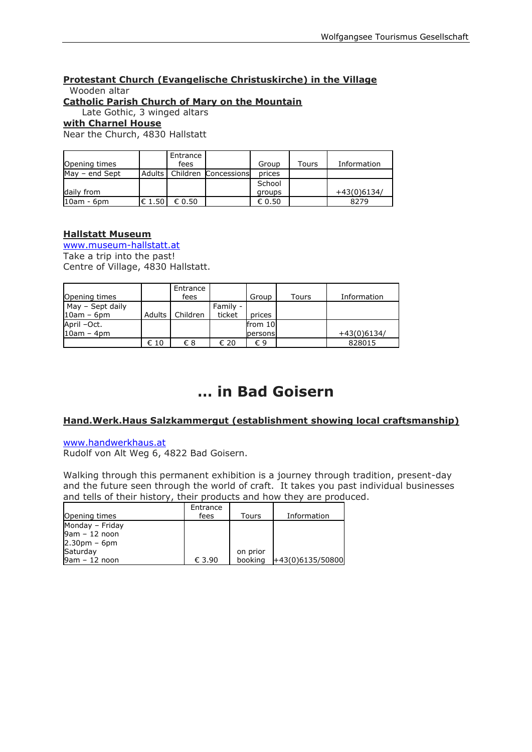## **Protestant Church (Evangelische Christuskirche) in the Village** Wooden altar

#### **Catholic Parish Church of Mary on the Mountain**

Late Gothic, 3 winged altars

#### **with Charnel House**

Near the Church, 4830 Hallstatt

| Opening times    |            | Entrance<br>fees |                               | Group           | Tours | Information   |
|------------------|------------|------------------|-------------------------------|-----------------|-------|---------------|
|                  |            |                  |                               |                 |       |               |
| $Mav - end$ Sept |            |                  | Adults   Children Concessions | prices          |       |               |
|                  |            |                  |                               | School          |       |               |
| daily from       |            |                  |                               | groups          |       | $+43(0)6134/$ |
| $10am - 6dm$     | $\in$ 1.50 | € 0.50           |                               | $\epsilon$ 0.50 |       | 8279          |

#### **Hallstatt Museum**

[www.museum-hallstatt.at](http://www.museum-hallstatt.at/) Take a trip into the past! Centre of Village, 4830 Hallstatt.

|                  |               | Entrance |          |         |       |               |
|------------------|---------------|----------|----------|---------|-------|---------------|
| Opening times    |               | fees     |          | Group   | Tours | Information   |
| May - Sept daily |               |          | Family - |         |       |               |
| $10am - 6pm$     | <b>Adults</b> | Children | ticket   | prices  |       |               |
| April -Oct.      |               |          |          | from 10 |       |               |
| $10am - 4dm$     |               |          |          | persons |       | $+43(0)6134/$ |
|                  | € 10          | €8       | € 20     | €9      |       | 828015        |

# **… in Bad Goisern**

#### **Hand.Werk.Haus Salzkammergut (establishment showing local craftsmanship)**

#### [www.handwerkhaus.at](http://www.handwerkhaus.at/)

Rudolf von Alt Weg 6, 4822 Bad Goisern.

Walking through this permanent exhibition is a journey through tradition, present-day and the future seen through the world of craft. It takes you past individual businesses and tells of their history, their products and how they are produced.

| Opening times   | Entrance<br>fees | Tours    | Information      |
|-----------------|------------------|----------|------------------|
| Monday - Friday |                  |          |                  |
| $9am - 12 noon$ |                  |          |                  |
| $2.30pm - 6pm$  |                  |          |                  |
| Saturday        |                  | on prior |                  |
| $9am - 12 noon$ | € 3.90           | booking  | +43(0)6135/50800 |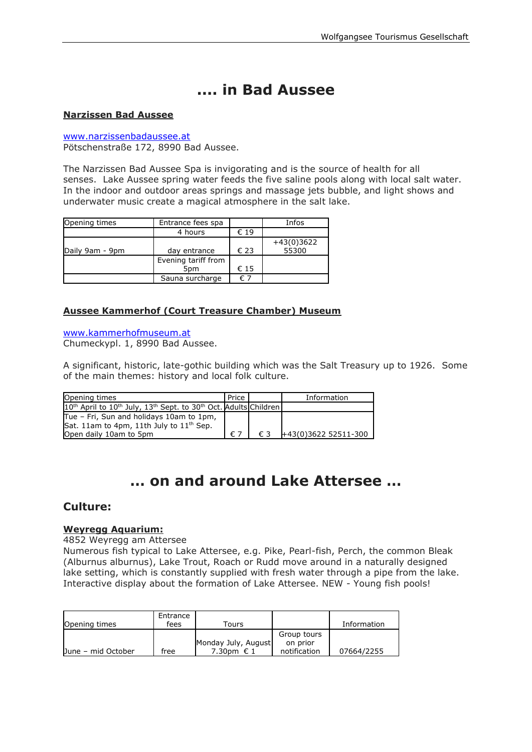# **.... in Bad Aussee**

#### **Narzissen Bad Aussee**

[www.narzissenbadaussee.at](http://www.narzissenbadaussee.at/) Pötschenstraße 172, 8990 Bad Aussee.

The Narzissen Bad Aussee Spa is invigorating and is the source of health for all senses. Lake Aussee spring water feeds the five saline pools along with local salt water. In the indoor and outdoor areas springs and massage jets bubble, and light shows and underwater music create a magical atmosphere in the salt lake.

| Opening times   | Entrance fees spa   |      | Infos        |
|-----------------|---------------------|------|--------------|
|                 | 4 hours             | € 19 |              |
|                 |                     |      | $+43(0)3622$ |
| Daily 9am - 9pm | day entrance        | € 23 | 55300        |
|                 | Evening tariff from |      |              |
|                 | 5 <sub>pm</sub>     | € 15 |              |
|                 | Sauna surcharge     | €    |              |

#### **Aussee Kammerhof (Court Treasure Chamber) Museum**

[www.kammerhofmuseum.at](http://www.badaussee.at/kammerhofmuseum)

Chumeckypl. 1, 8990 Bad Aussee.

A significant, historic, late-gothic building which was the Salt Treasury up to 1926. Some of the main themes: history and local folk culture.

| Opening times                                                                                                    | l Price            |     | Information          |
|------------------------------------------------------------------------------------------------------------------|--------------------|-----|----------------------|
|                                                                                                                  |                    |     |                      |
| 10 <sup>th</sup> April to 10 <sup>th</sup> July, 13 <sup>th</sup> Sept. to 30 <sup>th</sup> Oct. Adults Children |                    |     |                      |
| Tue - Fri, Sun and holidays 10am to 1pm,                                                                         |                    |     |                      |
| Sat. 11am to 4pm, 11th July to $11th$ Sep.                                                                       |                    |     |                      |
| Open daily 10am to 5pm                                                                                           | $\epsilon$ 7 $\pm$ | € 3 | +43(0)3622 52511-300 |

# **… on and around Lake Attersee …**

### **Culture:**

#### **Weyregg Aquarium:**

#### 4852 Weyregg am Attersee

Numerous fish typical to Lake Attersee, e.g. Pike, Pearl-fish, Perch, the common Bleak (Alburnus alburnus), Lake Trout, Roach or Rudd move around in a naturally designed lake setting, which is constantly supplied with fresh water through a pipe from the lake. Interactive display about the formation of Lake Attersee. NEW - Young fish pools!

| Opening times      | Entrance<br>fees | Tours               |              | Information |
|--------------------|------------------|---------------------|--------------|-------------|
|                    |                  |                     | Group tours  |             |
|                    |                  | Monday July, August | on prior     |             |
| June - mid October | free             | 7.30pm $€ 1$        | notification | 07664/2255  |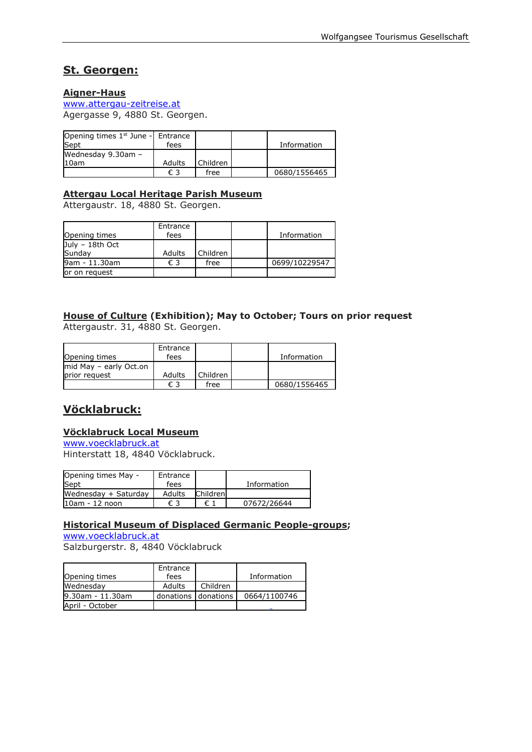## **St. Georgen:**

#### **Aigner-Haus**

[www.attergau-zeitreise.at](http://www.attergau-zeitreise.at/) Agergasse 9, 4880 St. Georgen.

| Opening times $1st$ June - Entrance |               |          |              |
|-------------------------------------|---------------|----------|--------------|
| Sept                                | fees          |          | Information  |
| Wednesday 9.30am -                  |               |          |              |
| 10am                                | <b>Adults</b> | Children |              |
|                                     | € 3           | free     | 0680/1556465 |

#### **Attergau Local Heritage Parish Museum**

Attergaustr. 18, 4880 St. Georgen.

| Opening times             | Entrance<br>fees |          | Information   |
|---------------------------|------------------|----------|---------------|
| July - 18th Oct<br>Sundav | Adults           | Children |               |
| 9am - 11.30am             | € 3              | free     | 0699/10229547 |
| or on request             |                  |          |               |

#### **House of Culture (Exhibition); May to October; Tours on prior request** Attergaustr. 31, 4880 St. Georgen.

| Opening times          | Entrance<br>fees |          | Information  |
|------------------------|------------------|----------|--------------|
| mid May - early Oct.on |                  |          |              |
| prior request          | Adults           | Children |              |
|                        | € 3              | free     | 0680/1556465 |

## **Vöcklabruck:**

#### **Vöcklabruck Local Museum**

[www.voecklabruck.at](http://www.voecklabruck.at/) Hinterstatt 18, 4840 Vöcklabruck.

| Opening times May -<br>Sept | Entrance<br>fees |          | Information |
|-----------------------------|------------------|----------|-------------|
| Wednesday + Saturday        | Adults           | Children |             |
| $10am - 12noon$             | € 3              | € 1      | 07672/26644 |

#### **Historical Museum of Displaced Germanic People-groups;**

[www.voecklabruck.at](http://www.voecklabruck.at/)

Salzburgerstr. 8, 4840 Vöcklabruck

| Opening times    | Entrance<br>fees    |          | Information  |
|------------------|---------------------|----------|--------------|
| Wednesdav        | Adults              | Children |              |
| 9.30am - 11.30am | donations donations |          | 0664/1100746 |
| April - October  |                     |          |              |